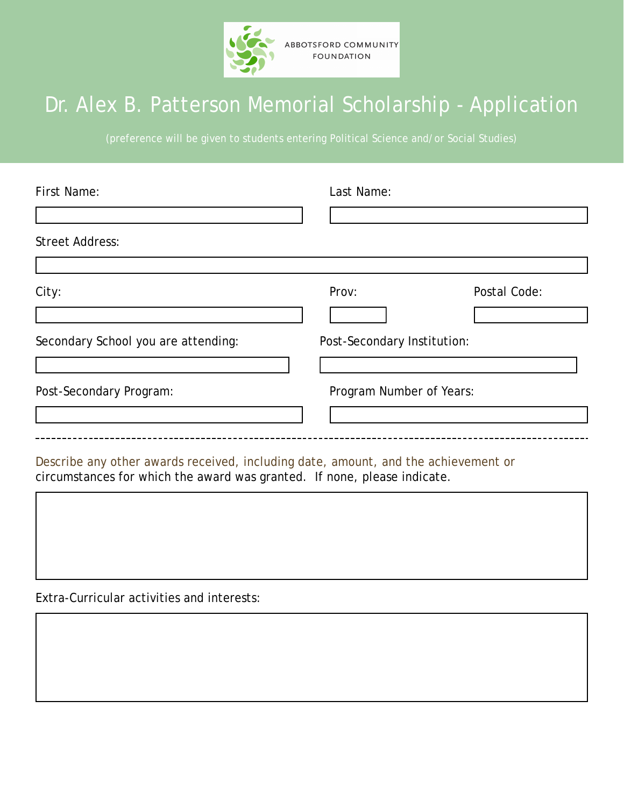

## Dr. Alex B. Patterson Memorial Scholarship - Application

(preference will be given to students entering Political Science and/or Social Studies)

| First Name:                                                                        | Last Name:                  |              |
|------------------------------------------------------------------------------------|-----------------------------|--------------|
|                                                                                    |                             |              |
| <b>Street Address:</b>                                                             |                             |              |
|                                                                                    |                             |              |
| City:                                                                              | Prov:                       | Postal Code: |
|                                                                                    |                             |              |
| Secondary School you are attending:                                                | Post-Secondary Institution: |              |
|                                                                                    |                             |              |
| Post-Secondary Program:                                                            | Program Number of Years:    |              |
|                                                                                    |                             |              |
|                                                                                    |                             |              |
| Describe any other awards received, including date, amount, and the achievement or |                             |              |

circumstances for which the award was granted. If none, please indicate.

Extra-Curricular activities and interests: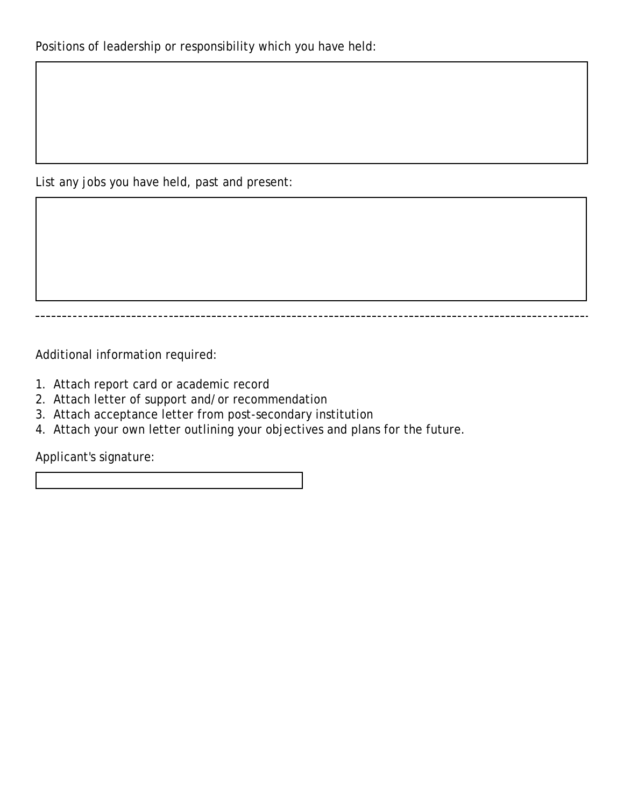List any jobs you have held, past and present:

Additional information required:

- 1. Attach report card or academic record
- 2. Attach letter of support and/or recommendation
- 3. Attach acceptance letter from post-secondary institution
- 4. Attach your own letter outlining your objectives and plans for the future.

Applicant's signature: